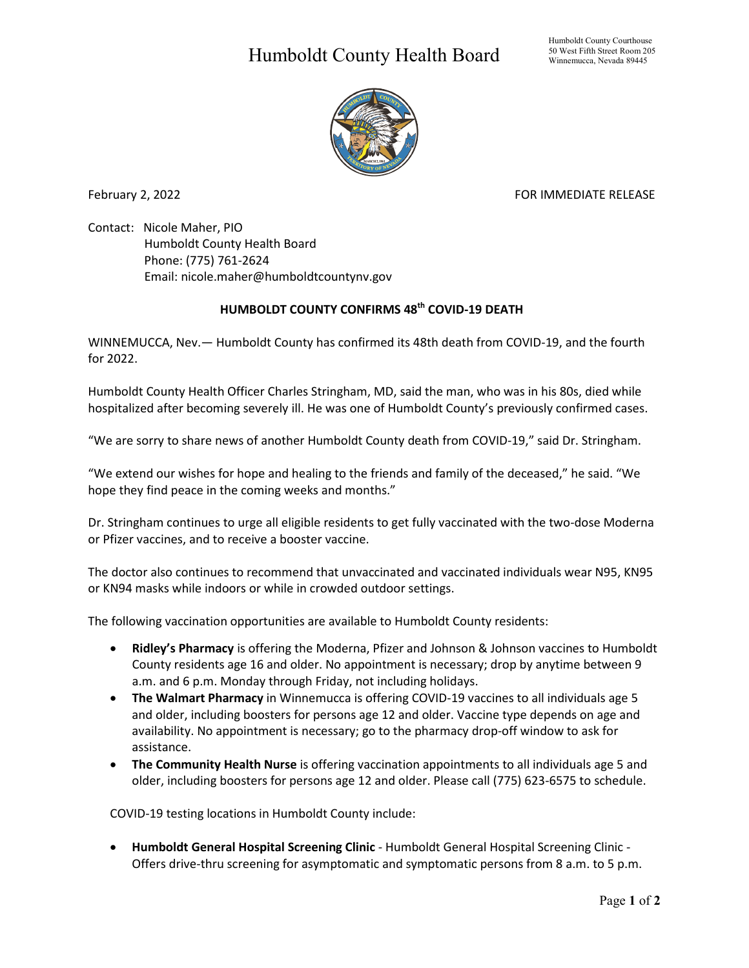## Humboldt County Health Board



February 2, 2022 **FOR IMMEDIATE RELEASE** 

Contact: Nicole Maher, PIO Humboldt County Health Board Phone: (775) 761-2624 Email: nicole.maher@humboldtcountynv.gov

## **HUMBOLDT COUNTY CONFIRMS 48th COVID-19 DEATH**

WINNEMUCCA, Nev.— Humboldt County has confirmed its 48th death from COVID-19, and the fourth for 2022.

Humboldt County Health Officer Charles Stringham, MD, said the man, who was in his 80s, died while hospitalized after becoming severely ill. He was one of Humboldt County's previously confirmed cases.

"We are sorry to share news of another Humboldt County death from COVID-19," said Dr. Stringham.

"We extend our wishes for hope and healing to the friends and family of the deceased," he said. "We hope they find peace in the coming weeks and months."

Dr. Stringham continues to urge all eligible residents to get fully vaccinated with the two-dose Moderna or Pfizer vaccines, and to receive a booster vaccine.

The doctor also continues to recommend that unvaccinated and vaccinated individuals wear N95, KN95 or KN94 masks while indoors or while in crowded outdoor settings.

The following vaccination opportunities are available to Humboldt County residents:

- **Ridley's Pharmacy** is offering the Moderna, Pfizer and Johnson & Johnson vaccines to Humboldt County residents age 16 and older. No appointment is necessary; drop by anytime between 9 a.m. and 6 p.m. Monday through Friday, not including holidays.
- **The Walmart Pharmacy** in Winnemucca is offering COVID-19 vaccines to all individuals age 5 and older, including boosters for persons age 12 and older. Vaccine type depends on age and availability. No appointment is necessary; go to the pharmacy drop-off window to ask for assistance.
- **The Community Health Nurse** is offering vaccination appointments to all individuals age 5 and older, including boosters for persons age 12 and older. Please call (775) 623-6575 to schedule.

COVID-19 testing locations in Humboldt County include:

• **Humboldt General Hospital Screening Clinic** - Humboldt General Hospital Screening Clinic - Offers drive-thru screening for asymptomatic and symptomatic persons from 8 a.m. to 5 p.m.